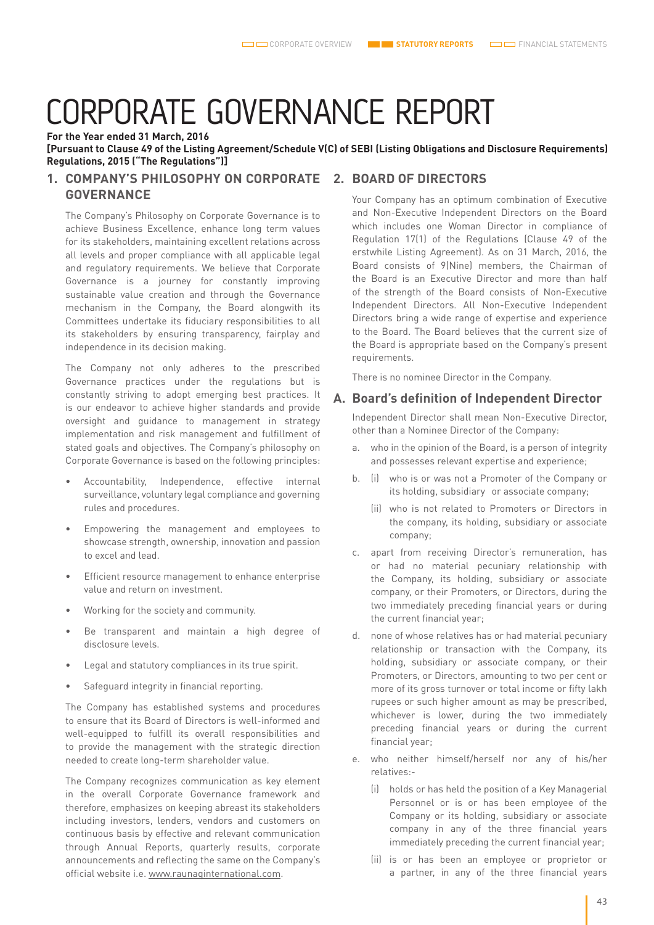# CORPORATE GOVERNANCE REPORT **For the Year ended 31 March, 2016**

## **[Pursuant to Clause 49 of the Listing Agreement/Schedule V(C) of SEBI (Listing Obligations and Disclosure Requirements) Regulations, 2015 ("The Regulations")]**

## **1. COMPANY'S PHILOSOPHY ON CORPORATE 2. BOARD OF DIRECTORS GOVERNANCE**

The Company's Philosophy on Corporate Governance is to achieve Business Excellence, enhance long term values for its stakeholders, maintaining excellent relations across all levels and proper compliance with all applicable legal and regulatory requirements. We believe that Corporate Governance is a journey for constantly improving sustainable value creation and through the Governance mechanism in the Company, the Board alongwith its Committees undertake its fiduciary responsibilities to all its stakeholders by ensuring transparency, fairplay and independence in its decision making.

The Company not only adheres to the prescribed Governance practices under the regulations but is constantly striving to adopt emerging best practices. It is our endeavor to achieve higher standards and provide oversight and guidance to management in strategy implementation and risk management and fulfillment of stated goals and objectives. The Company's philosophy on Corporate Governance is based on the following principles:

- Accountability, Independence, effective internal surveillance, voluntary legal compliance and governing rules and procedures.
- • Empowering the management and employees to showcase strength, ownership, innovation and passion to excel and lead.
- • Efficient resource management to enhance enterprise value and return on investment.
- Working for the society and community.
- Be transparent and maintain a high degree of disclosure levels.
- Legal and statutory compliances in its true spirit.
- • Safeguard integrity in financial reporting.

The Company has established systems and procedures to ensure that its Board of Directors is well-informed and well-equipped to fulfill its overall responsibilities and to provide the management with the strategic direction needed to create long-term shareholder value.

 The Company recognizes communication as key element in the overall Corporate Governance framework and therefore, emphasizes on keeping abreast its stakeholders including investors, lenders, vendors and customers on continuous basis by effective and relevant communication through Annual Reports, quarterly results, corporate announcements and reflecting the same on the Company's official website i.e. www.raunaqinternational.com.

Your Company has an optimum combination of Executive and Non-Executive Independent Directors on the Board which includes one Woman Director in compliance of Regulation 17(1) of the Regulations (Clause 49 of the erstwhile Listing Agreement). As on 31 March, 2016, the Board consists of 9(Nine) members, the Chairman of the Board is an Executive Director and more than half of the strength of the Board consists of Non-Executive Independent Directors. All Non-Executive Independent Directors bring a wide range of expertise and experience to the Board. The Board believes that the current size of the Board is appropriate based on the Company's present requirements.

There is no nominee Director in the Company.

## **A. Board's definition of Independent Director**

Independent Director shall mean Non-Executive Director, other than a Nominee Director of the Company:

- a. who in the opinion of the Board, is a person of integrity and possesses relevant expertise and experience;
- b. (i) who is or was not a Promoter of the Company or its holding, subsidiary or associate company;
	- (ii) who is not related to Promoters or Directors in the company, its holding, subsidiary or associate company;
- c. apart from receiving Director's remuneration, has or had no material pecuniary relationship with the Company, its holding, subsidiary or associate company, or their Promoters, or Directors, during the two immediately preceding financial years or during the current financial year;
- d. none of whose relatives has or had material pecuniary relationship or transaction with the Company, its holding, subsidiary or associate company, or their Promoters, or Directors, amounting to two per cent or more of its gross turnover or total income or fifty lakh rupees or such higher amount as may be prescribed, whichever is lower, during the two immediately preceding financial years or during the current financial year;
- e. who neither himself/herself nor any of his/her relatives:-
	- (i) holds or has held the position of a Key Managerial Personnel or is or has been employee of the Company or its holding, subsidiary or associate company in any of the three financial years immediately preceding the current financial year;
	- (ii) is or has been an employee or proprietor or a partner, in any of the three financial years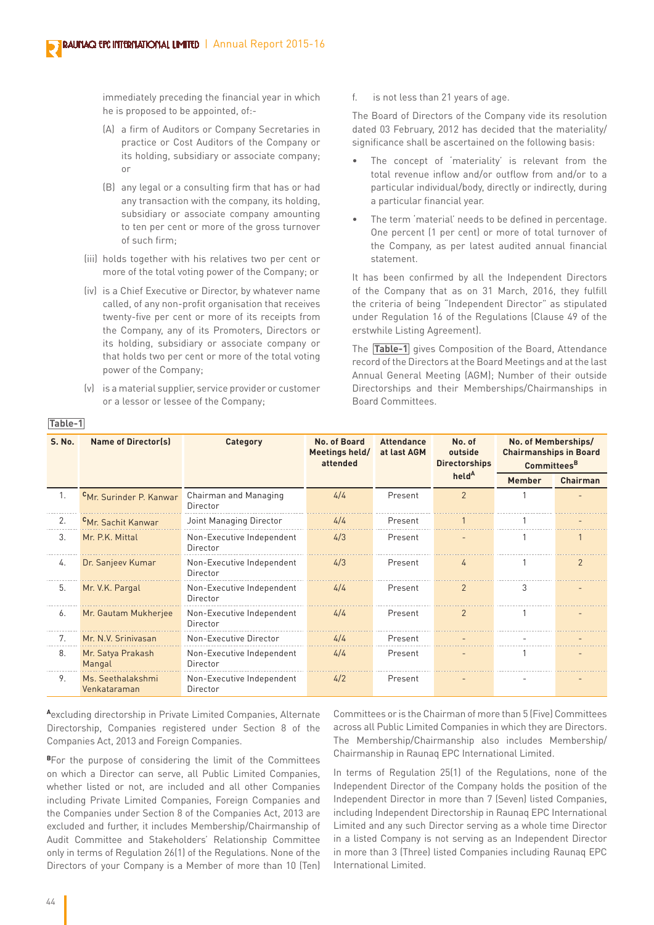immediately preceding the financial year in which he is proposed to be appointed, of:-

- (A) a firm of Auditors or Company Secretaries in practice or Cost Auditors of the Company or its holding, subsidiary or associate company; or
- (B) any legal or a consulting firm that has or had any transaction with the company, its holding, subsidiary or associate company amounting to ten per cent or more of the gross turnover of such firm;
- (iii) holds together with his relatives two per cent or more of the total voting power of the Company; or
- (iv) is a Chief Executive or Director, by whatever name called, of any non-profit organisation that receives twenty-five per cent or more of its receipts from the Company, any of its Promoters, Directors or its holding, subsidiary or associate company or that holds two per cent or more of the total voting power of the Company;
- (v) is a material supplier, service provider or customer or a lessor or lessee of the Company;

f. is not less than 21 years of age.

The Board of Directors of the Company vide its resolution dated 03 February, 2012 has decided that the materiality/ significance shall be ascertained on the following basis:

- The concept of 'materiality' is relevant from the total revenue inflow and/or outflow from and/or to a particular individual/body, directly or indirectly, during a particular financial year.
- The term 'material' needs to be defined in percentage. One percent (1 per cent) or more of total turnover of the Company, as per latest audited annual financial statement.

It has been confirmed by all the Independent Directors of the Company that as on 31 March, 2016, they fulfill the criteria of being "Independent Director" as stipulated under Regulation 16 of the Regulations (Clause 49 of the erstwhile Listing Agreement).

The **Table-1** gives Composition of the Board, Attendance record of the DIRURT<sub>3</sub> at the Board Meetings and at the last Annual General Meeting (AGM); Number of their outside Directorships and their Memberships/Chairmanships in Board Committees.

| <b>S. No.</b> | <b>Name of Director(s)</b>        | Category                              | No. of Board<br>Meetings held/<br>attended | <b>Attendance</b><br>at last AGM | No. of<br>outside<br><b>Directorships</b> | No. of Memberships/<br><b>Chairmanships in Board</b><br><b>Committees</b> <sup>B</sup> |          |
|---------------|-----------------------------------|---------------------------------------|--------------------------------------------|----------------------------------|-------------------------------------------|----------------------------------------------------------------------------------------|----------|
|               |                                   |                                       |                                            |                                  | held <sup>A</sup>                         | <b>Member</b>                                                                          | Chairman |
| 1.            | CMr. Surinder P. Kanwar           | Chairman and Managing<br>Director     | 4/4                                        | Present                          | $\overline{2}$                            |                                                                                        |          |
| 2.            | <sup>C</sup> Mr. Sachit Kanwar    | Joint Managing Director               | 4/4                                        | Present                          |                                           |                                                                                        |          |
| 3.            | Mr. P.K. Mittal                   | Non-Executive Independent<br>Director | 4/3                                        | Present                          |                                           |                                                                                        |          |
| 4.            | Dr. Sanjeev Kumar                 | Non-Executive Independent<br>Director | 4/3                                        | Present                          | $\overline{a}$                            |                                                                                        | 2        |
| 5.            | Mr. V.K. Pargal                   | Non-Executive Independent<br>Director | 4/4                                        | Present                          | $\mathcal{P}$                             | 3                                                                                      |          |
| 6.            | Mr. Gautam Mukherjee              | Non-Executive Independent<br>Director | 4/4                                        | Present                          | 2                                         |                                                                                        |          |
| 7.            | Mr. N.V. Sriniyasan               | Non-Executive Director                | 4/4                                        | Present                          |                                           |                                                                                        |          |
| 8.            | Mr. Satya Prakash<br>Mangal       | Non-Executive Independent<br>Director | 4/4                                        | Present                          |                                           |                                                                                        |          |
| 9.            | Ms. Seethalakshmi<br>Venkataraman | Non-Executive Independent<br>Director | 4/2                                        | Present                          |                                           |                                                                                        |          |

**Table-1**

**<sup>A</sup>**excluding directorship in Private Limited Companies, Alternate Directorship, Companies registered under Section 8 of the Companies Act, 2013 and Foreign Companies.

**B**For the purpose of considering the limit of the Committees on which a Director can serve, all Public Limited Companies, whether listed or not, are included and all other Companies including Private Limited Companies, Foreign Companies and the Companies under Section 8 of the Companies Act, 2013 are excluded and further, it includes Membership/Chairmanship of Audit Committee and Stakeholders' Relationship Committee only in terms of Regulation 26(1) of the Regulations. None of the Directors of your Company is a Member of more than 10 (Ten) Committees or is the Chairman of more than 5 (Five) Committees across all Public Limited Companies in which they are Directors. The Membership/Chairmanship also includes Membership/ Chairmanship in Raunaq EPC International Limited.

In terms of Regulation 25(1) of the Regulations, none of the Independent Director of the Company holds the position of the Independent Director in more than 7 (Seven) listed Companies, including Independent Directorship in Raunaq EPC International Limited and any such Director serving as a whole time Director in a listed Company is not serving as an Independent Director in more than 3 (Three) listed Companies including Raunaq EPC International Limited.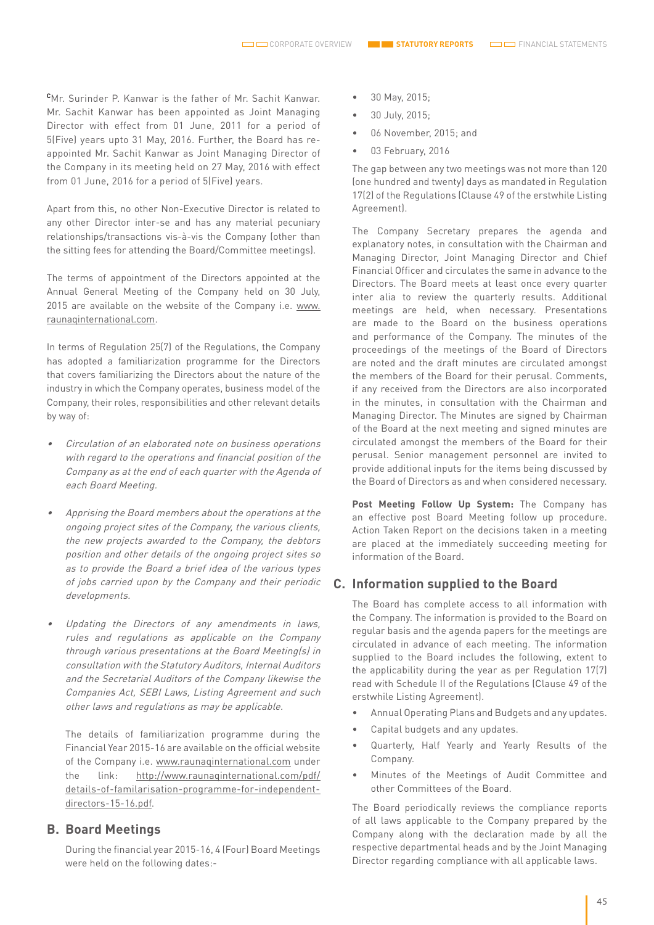**<sup>C</sup>**Mr. Surinder P. Kanwar is the father of Mr. Sachit Kanwar. Mr. Sachit Kanwar has been appointed as Joint Managing Director with effect from 01 June, 2011 for a period of 5(Five) years upto 31 May, 2016. Further, the Board has reappointed Mr. Sachit Kanwar as Joint Managing Director of the Company in its meeting held on 27 May, 2016 with effect from 01 June, 2016 for a period of 5(Five) years.

Apart from this, no other Non-Executive Director is related to any other Director inter-se and has any material pecuniary relationships/transactions vis-à-vis the Company (other than the sitting fees for attending the Board/Committee meetings).

The terms of appointment of the Directors appointed at the Annual General Meeting of the Company held on 30 July, 2015 are available on the website of the Company i.e. www. raunaqinternational.com.

In terms of Regulation 25(7) of the Regulations, the Company has adopted a familiarization programme for the Directors that covers familiarizing the Directors about the nature of the industry in which the Company operates, business model of the Company, their roles, responsibilities and other relevant details by way of:

- Circulation of an elaborated note on business operations with regard to the operations and financial position of the Company as at the end of each quarter with the Agenda of each Board Meeting.
- • Apprising the Board members about the operations at the ongoing project sites of the Company, the various clients, the new projects awarded to the Company, the debtors position and other details of the ongoing project sites so as to provide the Board a brief idea of the various types of jobs carried upon by the Company and their periodic developments.
- • Updating the Directors of any amendments in laws, rules and regulations as applicable on the Company through various presentations at the Board Meeting(s) in consultation with the Statutory Auditors, Internal Auditors and the Secretarial Auditors of the Company likewise the Companies Act, SEBI Laws, Listing Agreement and such other laws and regulations as may be applicable.

The details of familiarization programme during the Financial Year 2015-16 are available on the official website of the Company i.e. www.raunaqinternational.com under the link: http://www.raunaqinternational.com/pdf/ details-of-familarisation-programme-for-independentdirectors-15-16.pdf.

### **B. Board Meetings**

During the financial year 2015-16, 4 (Four) Board Meetings were held on the following dates:-

- 30 May, 2015;
- 30 July, 2015;
- 06 November, 2015; and
- 03 February, 2016

The gap between any two meetings was not more than 120 (one hundred and twenty) days as mandated in Regulation 17(2) of the Regulations (Clause 49 of the erstwhile Listing Agreement).

The Company Secretary prepares the agenda and explanatory notes, in consultation with the Chairman and Managing Director, Joint Managing Director and Chief Financial Officer and circulates the same in advance to the Directors. The Board meets at least once every quarter inter alia to review the quarterly results. Additional meetings are held, when necessary. Presentations are made to the Board on the business operations and performance of the Company. The minutes of the proceedings of the meetings of the Board of Directors are noted and the draft minutes are circulated amongst the members of the Board for their perusal. Comments, if any received from the Directors are also incorporated in the minutes, in consultation with the Chairman and Managing Director. The Minutes are signed by Chairman of the Board at the next meeting and signed minutes are circulated amongst the members of the Board for their perusal. Senior management personnel are invited to provide additional inputs for the items being discussed by the Board of Directors as and when considered necessary.

**Post Meeting Follow Up System:** The Company has an effective post Board Meeting follow up procedure. Action Taken Report on the decisions taken in a meeting are placed at the immediately succeeding meeting for information of the Board.

## **C. Information supplied to the Board**

The Board has complete access to all information with the Company. The information is provided to the Board on regular basis and the agenda papers for the meetings are circulated in advance of each meeting. The information supplied to the Board includes the following, extent to the applicability during the year as per Regulation 17(7) read with Schedule II of the Regulations (Clause 49 of the erstwhile Listing Agreement).

- Annual Operating Plans and Budgets and any updates.
- Capital budgets and any updates.
- Quarterly, Half Yearly and Yearly Results of the Company.
- Minutes of the Meetings of Audit Committee and other Committees of the Board.

The Board periodically reviews the compliance reports of all laws applicable to the Company prepared by the Company along with the declaration made by all the respective departmental heads and by the Joint Managing Director regarding compliance with all applicable laws.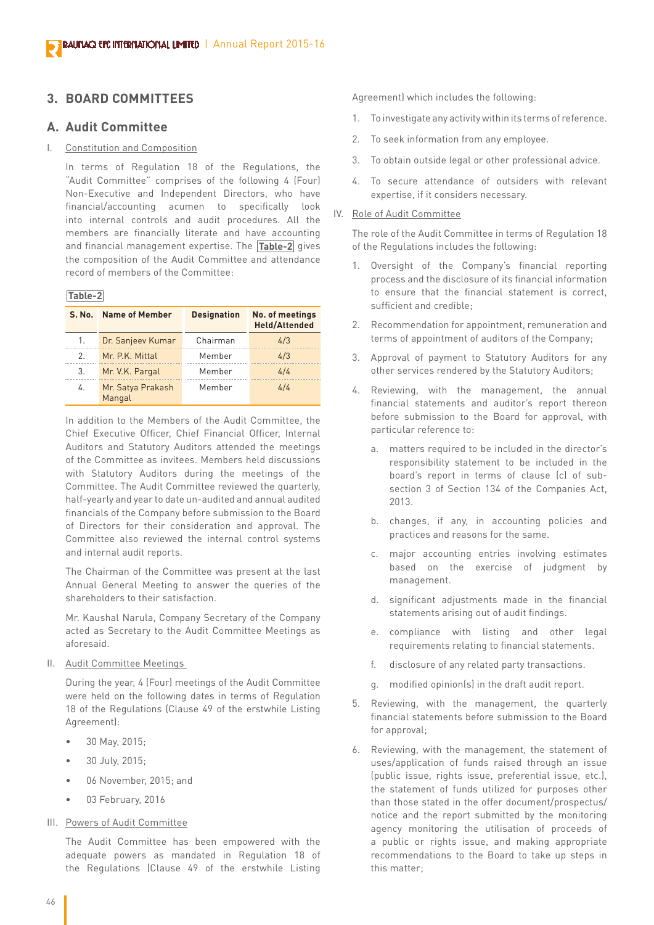## **3. BOARD COMMITTEES**

## **A. Audit Committee**

## I. Constitution and Composition

In terms of Regulation 18 of the Regulations, the "Audit Committee" comprises of the following 4 (Four) Non-Executive and Independent Directors, who have financial/accounting acumen to specifically look into internal controls and audit procedures. All the members are financially literate and have accounting and financial management expertise. The **Table-2** gives the composition of the Audit Committee and attendance record of members of the Committee:

## **Table-2**

| <b>S. No.</b> | <b>Name of Member</b>       | <b>Designation</b> | No. of meetings<br><b>Held/Attended</b> |
|---------------|-----------------------------|--------------------|-----------------------------------------|
| 1.            | Dr. Sanjeev Kumar           | Chairman           | 4/3                                     |
| 2.            | Mr. P.K. Mittal             | Member             | 4/3                                     |
| 3.            | Mr. V.K. Pargal             | Member             | 4/4                                     |
| 4.            | Mr. Satya Prakash<br>Mangal | Member             | 4/4                                     |

In addition to the Members of the Audit Committee, the Chief Executive Officer, Chief Financial Officer, Internal Auditors and Statutory Auditors attended the meetings of the Committee as invitees. Members held discussions with Statutory Auditors during the meetings of the Committee. The Audit Committee reviewed the quarterly, half-yearly and year to date un-audited and annual audited financials of the Company before submission to the Board of Directors for their consideration and approval. The Committee also reviewed the internal control systems and internal audit reports.

The Chairman of the Committee was present at the last Annual General Meeting to answer the queries of the shareholders to their satisfaction.

Mr. Kaushal Narula, Company Secretary of the Company acted as Secretary to the Audit Committee Meetings as aforesaid.

II. Audit Committee Meetings

During the year, 4 (Four) meetings of the Audit Committee were held on the following dates in terms of Regulation 18 of the Regulations (Clause 49 of the erstwhile Listing Agreement):

- 30 May, 2015;
- 30 July, 2015;
- 06 November, 2015; and
- 03 February, 2016

## III. Powers of Audit Committee

The Audit Committee has been empowered with the adequate powers as mandated in Regulation 18 of the Regulations (Clause 49 of the erstwhile Listing

Agreement) which includes the following:

- 1. To investigate any activity within its terms of reference.
- 2. To seek information from any employee.
- 3. To obtain outside legal or other professional advice.
- 4. To secure attendance of outsiders with relevant expertise, if it considers necessary.

## IV. Role of Audit Committee

The role of the Audit Committee in terms of Regulation 18 of the Regulations includes the following:

- 1. Oversight of the Company's financial reporting process and the disclosure of its financial information to ensure that the financial statement is correct, sufficient and credible;
- 2. Recommendation for appointment, remuneration and terms of appointment of auditors of the Company;
- 3. Approval of payment to Statutory Auditors for any other services rendered by the Statutory Auditors;
- 4. Reviewing, with the management, the annual financial statements and auditor's report thereon before submission to the Board for approval, with particular reference to:
	- a. matters required to be included in the director's responsibility statement to be included in the board's report in terms of clause (c) of subsection 3 of Section 134 of the Companies Act, 2013.
	- b. changes, if any, in accounting policies and practices and reasons for the same.
	- c. major accounting entries involving estimates based on the exercise of judgment by management.
	- d. significant adjustments made in the financial statements arising out of audit findings.
	- e. compliance with listing and other legal requirements relating to financial statements.
	- f. disclosure of any related party transactions.
	- g. modified opinion(s) in the draft audit report.
- 5. Reviewing, with the management, the quarterly financial statements before submission to the Board for approval;
- 6. Reviewing, with the management, the statement of uses/application of funds raised through an issue (public issue, rights issue, preferential issue, etc.), the statement of funds utilized for purposes other than those stated in the offer document/prospectus/ notice and the report submitted by the monitoring agency monitoring the utilisation of proceeds of a public or rights issue, and making appropriate recommendations to the Board to take up steps in this matter;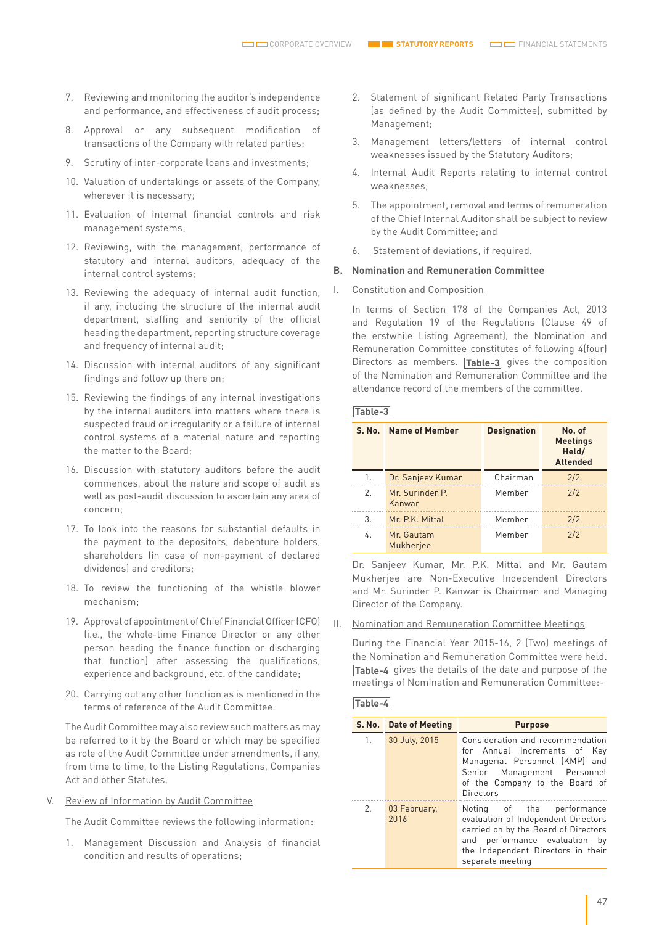- 7. Reviewing and monitoring the auditor's independence and performance, and effectiveness of audit process;
- 8. Approval or any subsequent modification of transactions of the Company with related parties;
- 9. Scrutiny of inter-corporate loans and investments;
- 10. Valuation of undertakings or assets of the Company. wherever it is necessary;
- 11. Evaluation of internal financial controls and risk management systems;
- 12. Reviewing, with the management, performance of statutory and internal auditors, adequacy of the internal control systems;
- 13. Reviewing the adequacy of internal audit function, if any, including the structure of the internal audit department, staffing and seniority of the official heading the department, reporting structure coverage and frequency of internal audit;
- 14. Discussion with internal auditors of any significant findings and follow up there on;
- 15. Reviewing the findings of any internal investigations by the internal auditors into matters where there is suspected fraud or irregularity or a failure of internal control systems of a material nature and reporting the matter to the Board;
- 16. Discussion with statutory auditors before the audit commences, about the nature and scope of audit as well as post-audit discussion to ascertain any area of concern;
- 17. To look into the reasons for substantial defaults in the payment to the depositors, debenture holders, shareholders (in case of non-payment of declared dividends) and creditors;
- 18. To review the functioning of the whistle blower mechanism;
- 19. Approval of appointment of Chief Financial Officer (CFO) (i.e., the whole-time Finance Director or any other person heading the finance function or discharging that function) after assessing the qualifications, experience and background, etc. of the candidate;
- 20. Carrying out any other function as is mentioned in the terms of reference of the Audit Committee.

The Audit Committee may also review such matters as may be referred to it by the Board or which may be specified as role of the Audit Committee under amendments, if any, from time to time, to the Listing Regulations, Companies Act and other Statutes.

V. Review of Information by Audit Committee

The Audit Committee reviews the following information:

1. Management Discussion and Analysis of financial condition and results of operations;

- 2. Statement of significant Related Party Transactions (as defined by the Audit Committee), submitted by Management;
- 3. Management letters/letters of internal control weaknesses issued by the Statutory Auditors;
- 4. Internal Audit Reports relating to internal control weaknesses;
- 5. The appointment, removal and terms of remuneration of the Chief Internal Auditor shall be subject to review by the Audit Committee; and
- 6. Statement of deviations, if required.

#### **B. Nomination and Remuneration Committee**

I. Constitution and Composition

In terms of Section 178 of the Companies Act, 2013 and Regulation 19 of the Regulations (Clause 49 of the erstwhile Listing Agreement), the Nomination and Remuneration Committee constitutes of following 4(four) Directors as members. **Table-3** gives the composition of the Nomination and Remuneration Committee and the attendance record of the members of the committee.

### **Table-3**

| S. No.        | <b>Name of Member</b>   | <b>Designation</b> | No. of<br><b>Meetings</b><br>Held/<br><b>Attended</b> |
|---------------|-------------------------|--------------------|-------------------------------------------------------|
| 1.            | Dr. Sanjeev Kumar       | Chairman           | 2/2                                                   |
| $\mathcal{P}$ | Mr Surinder P<br>Kanwar | Member             | 2/2                                                   |
| 3.            | Mr. P.K. Mittal         | Member             | 2/2                                                   |
| 4.            | Mr. Gautam<br>Mukherjee | Member             | 2/2                                                   |

Dr. Sanjeev Kumar, Mr. P.K. Mittal and Mr. Gautam Mukherjee are Non-Executive Independent Directors and Mr. Surinder P. Kanwar is Chairman and Managing Director of the Company.

II. Nomination and Remuneration Committee Meetings

During the Financial Year 2015-16, 2 (Two) meetings of the Nomination and Remuneration Committee were held. **Table-4** gives the details of the date and purpose of the meetings of Nomination and Remuneration Committee:-

## **Table-4**

|    | S. No. Date of Meeting | <b>Purpose</b>                                                                                                                                                                                         |
|----|------------------------|--------------------------------------------------------------------------------------------------------------------------------------------------------------------------------------------------------|
| 1. | 30 July, 2015          | Consideration and recommendation<br>for Annual Increments of Key<br>Managerial Personnel (KMP) and<br>Senior Management Personnel<br>of the Company to the Board of<br>Directors                       |
| 2. | 03 February.<br>2016   | Noting of the performance<br>evaluation of Independent Directors<br>carried on by the Board of Directors<br>performance evaluation by<br>and<br>the Independent Directors in their<br>separate meeting |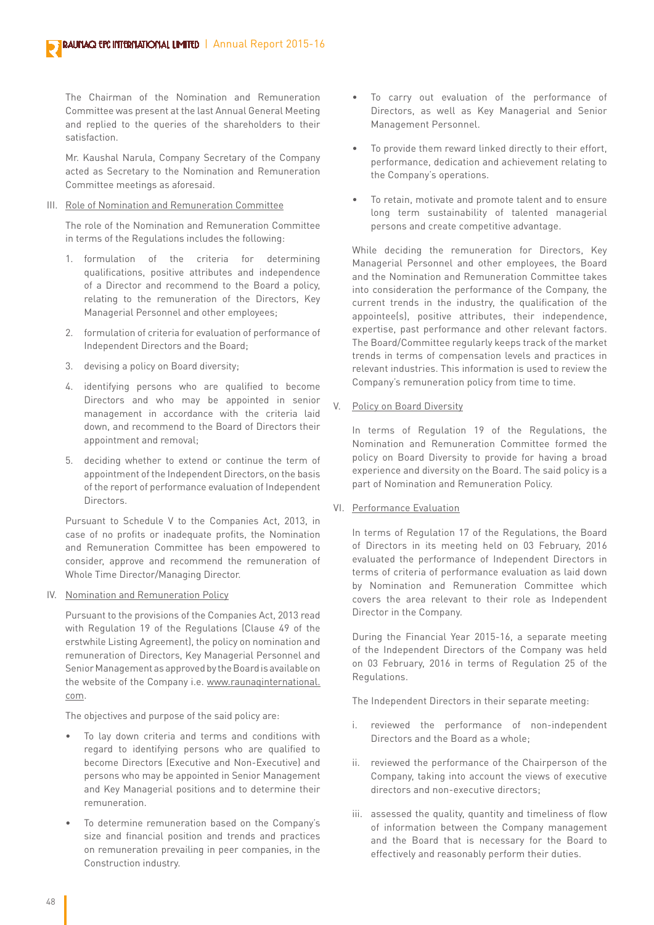The Chairman of the Nomination and Remuneration Committee was present at the last Annual General Meeting and replied to the queries of the shareholders to their satisfaction.

Mr. Kaushal Narula, Company Secretary of the Company acted as Secretary to the Nomination and Remuneration Committee meetings as aforesaid.

#### III. Role of Nomination and Remuneration Committee

The role of the Nomination and Remuneration Committee in terms of the Regulations includes the following:

- 1. formulation of the criteria for determining qualifications, positive attributes and independence of a Director and recommend to the Board a policy, relating to the remuneration of the Directors, Key Managerial Personnel and other employees;
- 2. formulation of criteria for evaluation of performance of Independent Directors and the Board;
- 3. devising a policy on Board diversity;
- 4. identifying persons who are qualified to become Directors and who may be appointed in senior management in accordance with the criteria laid down, and recommend to the Board of Directors their appointment and removal;
- 5. deciding whether to extend or continue the term of appointment of the Independent Directors, on the basis of the report of performance evaluation of Independent Directors.

Pursuant to Schedule V to the Companies Act, 2013, in case of no profits or inadequate profits, the Nomination and Remuneration Committee has been empowered to consider, approve and recommend the remuneration of Whole Time Director/Managing Director.

IV. Nomination and Remuneration Policy

Pursuant to the provisions of the Companies Act, 2013 read with Regulation 19 of the Regulations (Clause 49 of the erstwhile Listing Agreement), the policy on nomination and remuneration of Directors, Key Managerial Personnel and Senior Management as approved by the Board is available on the website of the Company i.e. www.raunaqinternational. com.

The objectives and purpose of the said policy are:

- To lay down criteria and terms and conditions with regard to identifying persons who are qualified to become Directors (Executive and Non-Executive) and persons who may be appointed in Senior Management and Key Managerial positions and to determine their remuneration.
- To determine remuneration based on the Company's size and financial position and trends and practices on remuneration prevailing in peer companies, in the Construction industry.
- To carry out evaluation of the performance of Directors, as well as Key Managerial and Senior Management Personnel.
- To provide them reward linked directly to their effort, performance, dedication and achievement relating to the Company's operations.
- To retain, motivate and promote talent and to ensure long term sustainability of talented managerial persons and create competitive advantage.

While deciding the remuneration for Directors, Key Managerial Personnel and other employees, the Board and the Nomination and Remuneration Committee takes into consideration the performance of the Company, the current trends in the industry, the qualification of the appointee(s), positive attributes, their independence, expertise, past performance and other relevant factors. The Board/Committee regularly keeps track of the market trends in terms of compensation levels and practices in relevant industries. This information is used to review the Company's remuneration policy from time to time.

### V. Policy on Board Diversity

In terms of Regulation 19 of the Regulations, the Nomination and Remuneration Committee formed the policy on Board Diversity to provide for having a broad experience and diversity on the Board. The said policy is a part of Nomination and Remuneration Policy.

### VI. Performance Evaluation

In terms of Regulation 17 of the Regulations, the Board of Directors in its meeting held on 03 February, 2016 evaluated the performance of Independent Directors in terms of criteria of performance evaluation as laid down by Nomination and Remuneration Committee which covers the area relevant to their role as Independent Director in the Company.

During the Financial Year 2015-16, a separate meeting of the Independent Directors of the Company was held on 03 February, 2016 in terms of Regulation 25 of the Regulations.

The Independent Directors in their separate meeting:

- i. reviewed the performance of non-independent Directors and the Board as a whole;
- ii. reviewed the performance of the Chairperson of the Company, taking into account the views of executive directors and non-executive directors;
- iii. assessed the quality, quantity and timeliness of flow of information between the Company management and the Board that is necessary for the Board to effectively and reasonably perform their duties.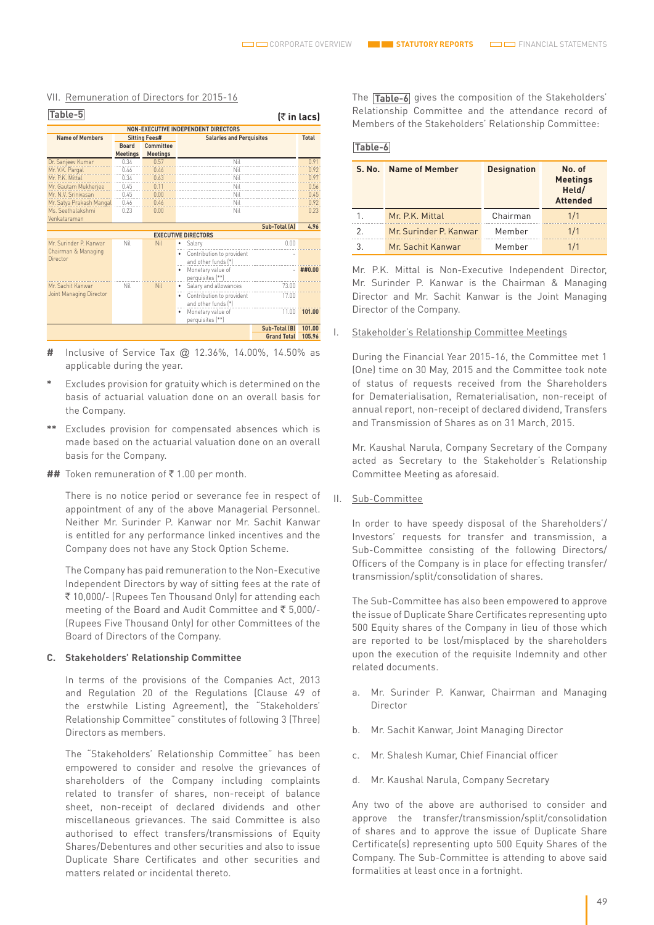#### VII. Remuneration of Directors for 2015-16

| Table-5<br>(₹ in lacs)              |                      |                 |                                 |               |              |
|-------------------------------------|----------------------|-----------------|---------------------------------|---------------|--------------|
| NON-EXECUTIVE INDEPENDENT DIRECTORS |                      |                 |                                 |               |              |
| <b>Name of Members</b>              | <b>Sitting Fees#</b> |                 | <b>Salaries and Perquisites</b> |               | <b>Total</b> |
|                                     | <b>Board</b>         | Committee       |                                 |               |              |
|                                     | Meetings             | <b>Meetings</b> |                                 |               |              |
| Dr. Sanjeev Kumar                   | 0.34                 | 0.57            | Nil                             |               | 0.91         |
| Mr. V.K. Pargal                     | 0.46                 | 0.46            | Nil                             |               | 0.92         |
| Mr. P.K. Mittal                     | 0.34                 | 0.63            | Nil                             |               | 0.97         |
| Mr. Gautam Mukherjee                | 0.45                 | 0.11            | Nil                             |               | 0.56         |
| Mr. N.V. Srinivasan                 | 0.45                 | 0.00            | Nil                             |               | 0.45         |
| Mr. Satya Prakash Mangal            | 0.46                 | 0.46            | Nil                             |               | 0.92         |
| Ms. Seethalakshmi                   | 0.23                 | 0.00            | Nil                             |               | 0.23         |
| Venkataraman                        |                      |                 |                                 |               |              |
| Sub-Total (A)                       |                      |                 |                                 | 4.96          |              |
|                                     |                      |                 | <b>EXECUTIVE DIRECTORS</b>      |               |              |
| Mr. Surinder P. Kanwar              | Nil                  | <b>Nil</b>      | Salary<br>٠                     | 0.00          |              |
| Chairman & Managing                 |                      |                 | Contribution to provident       |               |              |
| Director                            |                      |                 | and other funds [*]             |               |              |
|                                     |                      |                 | Monetary value of               |               | ##0.00       |
|                                     |                      |                 | perquisites [**]                |               |              |
| Mr. Sachit Kanwar                   | Nil                  | Nil             | Salary and allowances<br>٠      | 73.00         |              |
| Joint Managing Director             |                      |                 | Contribution to provident<br>٠  | 17.00         |              |
|                                     |                      |                 | and other funds [*]             |               |              |
|                                     |                      |                 | Monetary value of<br>٠          | 11.00         | 101.00       |
|                                     |                      |                 | perquisites (**)                |               |              |
|                                     |                      |                 |                                 | Sub-Total (B) | 101.00       |
| <b>Grand Total</b>                  |                      |                 |                                 |               | 105.96       |
|                                     |                      |                 |                                 |               |              |

- **#** Inclusive of Service Tax @ 12.36%, 14.00%, 14.50% as applicable during the year.
- **\*** Excludes provision for gratuity which is determined on the basis of actuarial valuation done on an overall basis for the Company.
- **\*\*** Excludes provision for compensated absences which is made based on the actuarial valuation done on an overall basis for the Company.
- **##** Token remuneration of ` 1.00 per month.

There is no notice period or severance fee in respect of appointment of any of the above Managerial Personnel. Neither Mr. Surinder P. Kanwar nor Mr. Sachit Kanwar is entitled for any performance linked incentives and the Company does not have any Stock Option Scheme.

The Company has paid remuneration to the Non-Executive Independent Directors by way of sitting fees at the rate of ₹ 10,000/- (Rupees Ten Thousand Only) for attending each meeting of the Board and Audit Committee and  $\bar{\bar{\xi}}$  5,000/-(Rupees Five Thousand Only) for other Committees of the Board of Directors of the Company.

#### **C. Stakeholders' Relationship Committee**

In terms of the provisions of the Companies Act, 2013 and Regulation 20 of the Regulations (Clause 49 of the erstwhile Listing Agreement), the "Stakeholders' Relationship Committee" constitutes of following 3 (Three) Directors as members.

 The "Stakeholders' Relationship Committee" has been empowered to consider and resolve the grievances of shareholders of the Company including complaints related to transfer of shares, non-receipt of balance sheet, non-receipt of declared dividends and other miscellaneous grievances. The said Committee is also authorised to effect transfers/transmissions of Equity Shares/Debentures and other securities and also to issue Duplicate Share Certificates and other securities and matters related or incidental thereto.

The **Table-6** gives the composition of the Stakeholders' Relationship Committee and the attendance record of Members of the Stakeholders' Relationship Committee:

#### **Table-6**

| <b>S. No.</b> | <b>Name of Member</b>  | <b>Designation</b> | No. of<br><b>Meetings</b><br>Held/<br><b>Attended</b> |
|---------------|------------------------|--------------------|-------------------------------------------------------|
|               | Mr. P.K. Mittal        | Chairman           | 1/1                                                   |
| $\mathcal{P}$ | Mr. Surinder P. Kanwar | Member             | 1/1                                                   |
|               | Mr. Sachit Kanwar      | Member             | 1/1                                                   |

Mr. P.K. Mittal is Non-Executive Independent Director, Mr. Surinder P. Kanwar is the Chairman & Managing Director and Mr. Sachit Kanwar is the Joint Managing Director of the Company.

I. Stakeholder's Relationship Committee Meetings

During the Financial Year 2015-16, the Committee met 1 (One) time on 30 May, 2015 and the Committee took note of status of requests received from the Shareholders for Dematerialisation, Rematerialisation, non-receipt of annual report, non-receipt of declared dividend, Transfers and Transmission of Shares as on 31 March, 2015.

Mr. Kaushal Narula, Company Secretary of the Company acted as Secretary to the Stakeholder's Relationship Committee Meeting as aforesaid.

II. Sub-Committee

In order to have speedy disposal of the Shareholders'/ Investors' requests for transfer and transmission, a Sub-Committee consisting of the following Directors/ Officers of the Company is in place for effecting transfer/ transmission/split/consolidation of shares.

The Sub-Committee has also been empowered to approve the issue of Duplicate Share Certificates representing upto 500 Equity shares of the Company in lieu of those which are reported to be lost/misplaced by the shareholders upon the execution of the requisite Indemnity and other related documents.

- a. Mr. Surinder P. Kanwar, Chairman and Managing Director
- b. Mr. Sachit Kanwar, Joint Managing Director
- c. Mr. Shalesh Kumar, Chief Financial officer
- d. Mr. Kaushal Narula, Company Secretary

Any two of the above are authorised to consider and approve the transfer/transmission/split/consolidation of shares and to approve the issue of Duplicate Share Certificate(s) representing upto 500 Equity Shares of the Company. The Sub-Committee is attending to above said formalities at least once in a fortnight.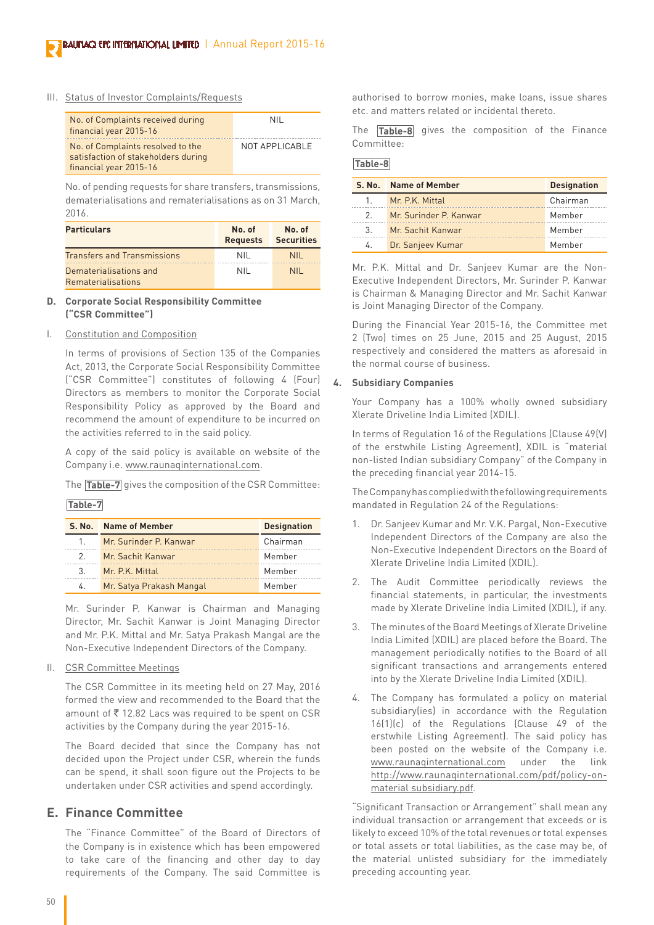III. Status of Investor Complaints/Requests

| No. of Complaints received during<br>financial year 2015-16                                        | NII.           |
|----------------------------------------------------------------------------------------------------|----------------|
| No. of Complaints resolved to the<br>satisfaction of stakeholders during<br>financial year 2015-16 | NOT APPLICABLE |

No. of pending requests for share transfers, transmissions, dematerialisations and rematerialisations as on 31 March, 2016.

| <b>Particulars</b>                 | No. of<br><b>Requests</b> | No. of<br><b>Securities</b> |
|------------------------------------|---------------------------|-----------------------------|
| <b>Transfers and Transmissions</b> | NII.                      | NII.                        |
| Dematerialisations and             | NII.                      | NII.                        |
| <b>Rematerialisations</b>          |                           |                             |

#### **D. Corporate Social Responsibility Committee ("CSR Committee")**

#### I. Constitution and Composition

In terms of provisions of Section 135 of the Companies Act, 2013, the Corporate Social Responsibility Committee ("CSR Committee") constitutes of following 4 (Four) Directors as members to monitor the Corporate Social Responsibility Policy as approved by the Board and recommend the amount of expenditure to be incurred on the activities referred to in the said policy.

A copy of the said policy is available on website of the Company i.e. www.raunaqinternational.com.

The **Table-7** gives the composition of the CSR Committee:

**Table-7**

| S. No. | <b>Name of Member</b>    | <b>Designation</b> |
|--------|--------------------------|--------------------|
| 1      | Mr. Surinder P. Kanwar   | Chairman           |
| 2      | Mr. Sachit Kanwar        | Member             |
| 3      | Mr. P.K. Mittal          | Member             |
| 4.     | Mr. Satya Prakash Mangal | Member             |

Mr. Surinder P. Kanwar is Chairman and Managing Director, Mr. Sachit Kanwar is Joint Managing Director and Mr. P.K. Mittal and Mr. Satya Prakash Mangal are the Non-Executive Independent Directors of the Company.

#### II. CSR Committee Meetings

The CSR Committee in its meeting held on 27 May, 2016 formed the view and recommended to the Board that the amount of  $\overline{\xi}$  12.82 Lacs was required to be spent on CSR activities by the Company during the year 2015-16.

The Board decided that since the Company has not decided upon the Project under CSR, wherein the funds can be spend, it shall soon figure out the Projects to be undertaken under CSR activities and spend accordingly.

## **E. Finance Committee**

The "Finance Committee" of the Board of Directors of the Company is in existence which has been empowered to take care of the financing and other day to day requirements of the Company. The said Committee is authorised to borrow monies, make loans, issue shares etc. and matters related or incidental thereto.

The **Table-8** gives the composition of the Finance Committee:

#### **Table-8**

|               | S. No. Name of Member  | <b>Designation</b> |
|---------------|------------------------|--------------------|
| 1             | Mr. P.K. Mittal        | Chairman           |
| 2             | Mr. Surinder P. Kanwar | Member             |
| $\mathcal{R}$ | Mr. Sachit Kanwar      | Member             |
| 4.            | Dr. Sanjeev Kumar      | Member             |

Mr. P.K. Mittal and Dr. Sanjeev Kumar are the Non-Executive Independent Directors, Mr. Surinder P. Kanwar is Chairman & Managing Director and Mr. Sachit Kanwar is Joint Managing Director of the Company.

During the Financial Year 2015-16, the Committee met 2 (Two) times on 25 June, 2015 and 25 August, 2015 respectively and considered the matters as aforesaid in the normal course of business.

#### **4. Subsidiary Companies**

Your Company has a 100% wholly owned subsidiary Xlerate Driveline India Limited (XDIL).

In terms of Regulation 16 of the Regulations (Clause 49(V) of the erstwhile Listing Agreement), XDIL is "material non-listed Indian subsidiary Company" of the Company in the preceding financial year 2014-15.

The Company has complied with the following requirements mandated in Regulation 24 of the Regulations:

- 1. Dr. Sanjeev Kumar and Mr. V.K. Pargal, Non-Executive Independent Directors of the Company are also the Non-Executive Independent Directors on the Board of Xlerate Driveline India Limited (XDIL).
- 2. The Audit Committee periodically reviews the financial statements, in particular, the investments made by Xlerate Driveline India Limited (XDIL), if any.
- 3. The minutes of the Board Meetings of Xlerate Driveline India Limited (XDIL) are placed before the Board. The management periodically notifies to the Board of all significant transactions and arrangements entered into by the Xlerate Driveline India Limited (XDIL).
- 4. The Company has formulated a policy on material subsidiary(ies) in accordance with the Regulation 16(1)(c) of the Regulations (Clause 49 of the erstwhile Listing Agreement). The said policy has been posted on the website of the Company i.e. www.raunaqinternational.com under the link http://www.raunaqinternational.com/pdf/policy-onmaterial subsidiary.pdf.

"Significant Transaction or Arrangement" shall mean any individual transaction or arrangement that exceeds or is likely to exceed 10% of the total revenues or total expenses or total assets or total liabilities, as the case may be, of the material unlisted subsidiary for the immediately preceding accounting year.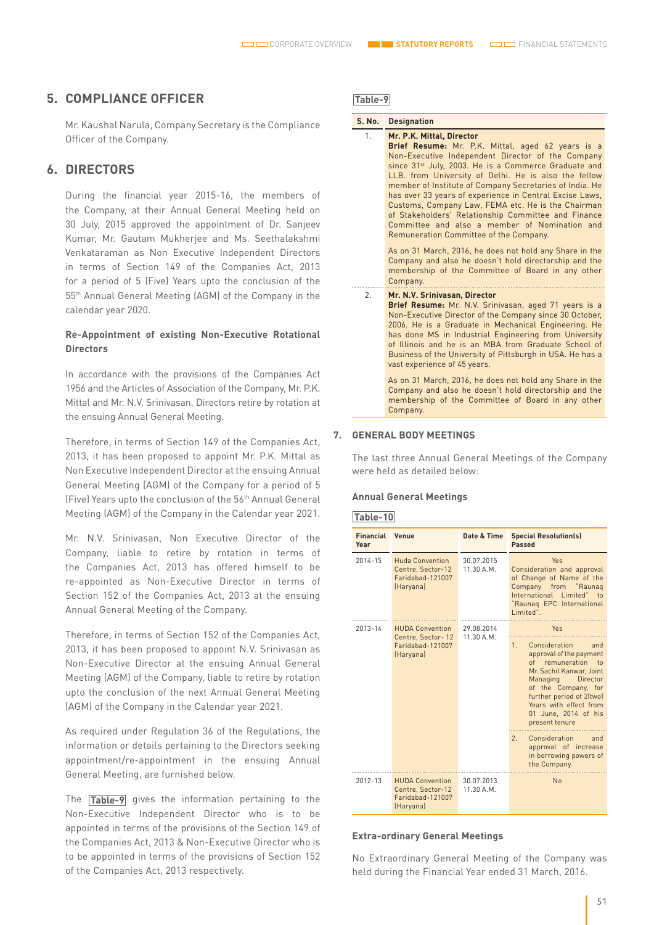## **5. COMPLIANCE OFFICER**

Mr. Kaushal Narula, Company Secretary is the Compliance Officer of the Company.

## **6. DIRECTORS**

During the financial year 2015-16, the members of the Company, at their Annual General Meeting held on 30 July, 2015 approved the appointment of Dr. Sanjeev Kumar, Mr. Gautam Mukherjee and Ms. Seethalakshmi Venkataraman as Non Executive Independent Directors in terms of Section 149 of the Companies Act, 2013 for a period of 5 (Five) Years upto the conclusion of the 55th Annual General Meeting (AGM) of the Company in the calendar year 2020.

#### **Re-Appointment of existing Non-Executive Rotational Directors**

In accordance with the provisions of the Companies Act 1956 and the Articles of Association of the Company, Mr. P.K. Mittal and Mr. N.V. Srinivasan, Directors retire by rotation at the ensuing Annual General Meeting.

Therefore, in terms of Section 149 of the Companies Act, 2013, it has been proposed to appoint Mr. P.K. Mittal as Non Executive Independent Director at the ensuing Annual General Meeting (AGM) of the Company for a period of 5 (Five) Years upto the conclusion of the 56th Annual General Meeting (AGM) of the Company in the Calendar year 2021.

Mr. N.V. Srinivasan, Non Executive Director of the Company, liable to retire by rotation in terms of the Companies Act, 2013 has offered himself to be re-appointed as Non-Executive Director in terms of Section 152 of the Companies Act, 2013 at the ensuing Annual General Meeting of the Company.

Therefore, in terms of Section 152 of the Companies Act, 2013, it has been proposed to appoint N.V. Srinivasan as Non-Executive Director at the ensuing Annual General Meeting (AGM) of the Company, liable to retire by rotation upto the conclusion of the next Annual General Meeting (AGM) of the Company in the Calendar year 2021.

As required under Regulation 36 of the Regulations, the information or details pertaining to the Directors seeking appointment/re-appointment in the ensuing Annual General Meeting, are furnished below.

The **Table-9** gives the information pertaining to the Non-Executive Independent Director who is to be appointed in terms of the provisions of the Section 149 of the Companies Act, 2013 & Non-Executive Director who is to be appointed in terms of the provisions of Section 152 of the Companies Act, 2013 respectively.

### **Table-9**

| <b>S. No.</b> | <b>Designation</b>                                                                                                                                                                                                                                                                                                                                                                                                                                                                                                                                                                            |
|---------------|-----------------------------------------------------------------------------------------------------------------------------------------------------------------------------------------------------------------------------------------------------------------------------------------------------------------------------------------------------------------------------------------------------------------------------------------------------------------------------------------------------------------------------------------------------------------------------------------------|
| 1.            | Mr. P.K. Mittal, Director<br>Brief Resume: Mr. P.K. Mittal, aged 62 years is a<br>Non-Executive Independent Director of the Company<br>since 31 <sup>st</sup> July, 2003. He is a Commerce Graduate and<br>LLB. from University of Delhi. He is also the fellow<br>member of Institute of Company Secretaries of India. He<br>has over 33 years of experience in Central Excise Laws,<br>Customs, Company Law, FEMA etc. He is the Chairman<br>of Stakeholders' Relationship Committee and Finance<br>Committee and also a member of Nomination and<br>Remuneration Committee of the Company. |
|               | As on 31 March, 2016, he does not hold any Share in the<br>Company and also he doesn't hold directorship and the<br>membership of the Committee of Board in any other<br>Company.                                                                                                                                                                                                                                                                                                                                                                                                             |
| $\mathcal{P}$ | Mr. N.V. Srinivasan, Director<br>Brief Resume: Mr. N.V. Srinivasan, aged 71 years is a<br>Non-Executive Director of the Company since 30 October,<br>2006. He is a Graduate in Mechanical Engineering. He<br>has done MS in Industrial Engineering from University<br>of Illinois and he is an MBA from Graduate School of<br>Business of the University of Pittsburgh in USA. He has a<br>vast experience of 45 years.                                                                                                                                                                       |
|               | As on 31 March, 2016, he does not hold any Share in the<br>Company and also he doesn't hold directorship and the<br>membership of the Committee of Board in any other<br>Company.                                                                                                                                                                                                                                                                                                                                                                                                             |

#### **7. GENERAL BODY MEETINGS**

The last three Annual General Meetings of the Company were held as detailed below:

#### **Annual General Meetings**

#### **Table-10**

| <b>Financial</b><br>Year | Venue                                                                        | Date & Time              | <b>Special Resolution(s)</b><br>Passed                                                                                                                                                                                                                                      |
|--------------------------|------------------------------------------------------------------------------|--------------------------|-----------------------------------------------------------------------------------------------------------------------------------------------------------------------------------------------------------------------------------------------------------------------------|
| 2014-15                  | <b>Huda Convention</b><br>Centre, Sector-12<br>Faridabad-121007<br>(Haryana) | 30.07.2015<br>11.30 A.M. | Yes<br>Consideration and approval<br>of Change of Name of the<br>Company from<br>"Raunag<br>International Limited"<br>to<br>"Raunag EPC International<br>Limited".                                                                                                          |
| 2013-14                  | <b>HUDA Convention</b><br>Centre, Sector-12<br>Faridabad-121007<br>(Haryana) | 29.08.2014<br>11.30 A.M. | Yes<br>1<br>Consideration<br>and<br>approval of the payment<br>of remuneration<br>t <sub>0</sub><br>Mr. Sachit Kanwar, Joint<br>Managing<br>Director<br>of the Company, for<br>further period of 2(two)<br>Years with effect from<br>01 June, 2014 of his<br>present tenure |
|                          |                                                                              |                          | 2.<br>Consideration<br>and<br>approval of increase<br>in borrowing powers of<br>the Company                                                                                                                                                                                 |
| 2012-13                  | <b>HUDA Convention</b><br>Centre, Sector-12<br>Faridabad-121007<br>(Haryana) | 30.07.2013<br>11.30 A.M. | <b>No</b>                                                                                                                                                                                                                                                                   |

#### **Extra-ordinary General Meetings**

No Extraordinary General Meeting of the Company was held during the Financial Year ended 31 March, 2016.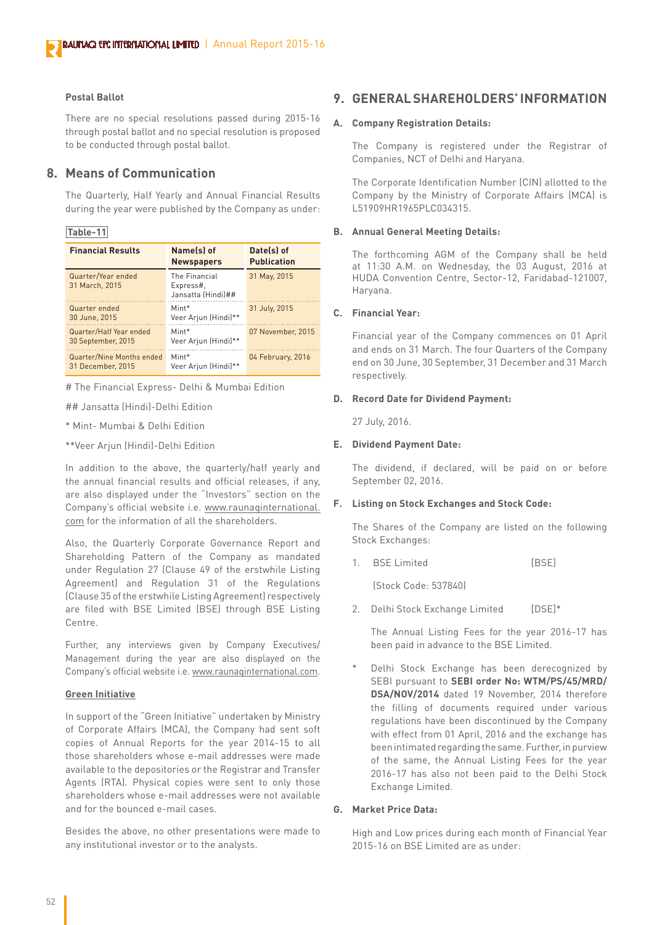#### **Postal Ballot**

There are no special resolutions passed during 2015-16 through postal ballot and no special resolution is proposed to be conducted through postal ballot.

## **8. Means of Communication**

The Quarterly, Half Yearly and Annual Financial Results during the year were published by the Company as under:

#### **Table-11**

| <b>Financial Results</b>                       | Name(s) of<br><b>Newspapers</b>                  | Date(s) of<br><b>Publication</b> |
|------------------------------------------------|--------------------------------------------------|----------------------------------|
| Quarter/Year ended<br>31 March, 2015           | The Financial<br>Express#,<br>Jansatta (Hindi)## | 31 May, 2015                     |
| Quarter ended<br>30 June, 2015                 | Mint*<br>Veer Arjun (Hindi)**                    | 31 July, 2015                    |
| Quarter/Half Year ended<br>30 September, 2015  | Mint*<br>Veer Arjun (Hindi)**                    | 07 November, 2015                |
| Quarter/Nine Months ended<br>31 December, 2015 | Mint*<br>Veer Arjun (Hindi)**                    | 04 February, 2016                |

# The Financial Express- Delhi & Mumbai Edition

## Jansatta (Hindi)-Delhi Edition

\* Mint- Mumbai & Delhi Edition

\*\*Veer Arjun (Hindi)-Delhi Edition

In addition to the above, the quarterly/half yearly and the annual financial results and official releases, if any, are also displayed under the "Investors" section on the Company's official website i.e. www.raunaqinternational. com for the information of all the shareholders.

Also, the Quarterly Corporate Governance Report and Shareholding Pattern of the Company as mandated under Regulation 27 (Clause 49 of the erstwhile Listing Agreement) and Regulation 31 of the Regulations (Clause 35 of the erstwhile Listing Agreement) respectively are filed with BSE Limited (BSE) through BSE Listing Centre.

Further, any interviews given by Company Executives/ Management during the year are also displayed on the Company's official website i.e. www.raunaqinternational.com.

#### **Green Initiative**

 In support of the "Green Initiative" undertaken by Ministry of Corporate Affairs (MCA), the Company had sent soft copies of Annual Reports for the year 2014-15 to all those shareholders whose e-mail addresses were made available to the depositories or the Registrar and Transfer Agents (RTA). Physical copies were sent to only those shareholders whose e-mail addresses were not available and for the bounced e-mail cases.

Besides the above, no other presentations were made to any institutional investor or to the analysts.

## **9. GENERAL SHAREHOLDERS' INFORMATION**

#### **A. Company Registration Details:**

The Company is registered under the Registrar of Companies, NCT of Delhi and Haryana.

The Corporate Identification Number (CIN) allotted to the Company by the Ministry of Corporate Affairs (MCA) is L51909HR1965PLC034315.

#### **B. Annual General Meeting Details:**

The forthcoming AGM of the Company shall be held at 11:30 A.M. on Wednesday, the 03 August, 2016 at HUDA Convention Centre, Sector-12, Faridabad-121007, Haryana.

#### **C. Financial Year:**

Financial year of the Company commences on 01 April and ends on 31 March. The four Quarters of the Company end on 30 June, 30 September, 31 December and 31 March respectively.

#### **D. Record Date for Dividend Payment:**

27 July, 2016.

#### **E. Dividend Payment Date:**

The dividend, if declared, will be paid on or before September 02, 2016.

#### **F. Listing on Stock Exchanges and Stock Code:**

The Shares of the Company are listed on the following Stock Exchanges:

1. BSE Limited [BSE]

 (Stock Code: 537840)

2. Delhi Stock Exchange Limited [DSE]\*

 The Annual Listing Fees for the year 2016-17 has been paid in advance to the BSE Limited.

Delhi Stock Exchange has been derecognized by SEBI pursuant to **SEBI order No: WTM/PS/45/MRD/ DSA/NOV/2014** dated 19 November, 2014 therefore the filling of documents required under various regulations have been discontinued by the Company with effect from 01 April, 2016 and the exchange has been intimated regarding the same. Further, in purview of the same, the Annual Listing Fees for the year 2016-17 has also not been paid to the Delhi Stock Exchange Limited.

#### **G. Market Price Data:**

High and Low prices during each month of Financial Year 2015-16 on BSE Limited are as under: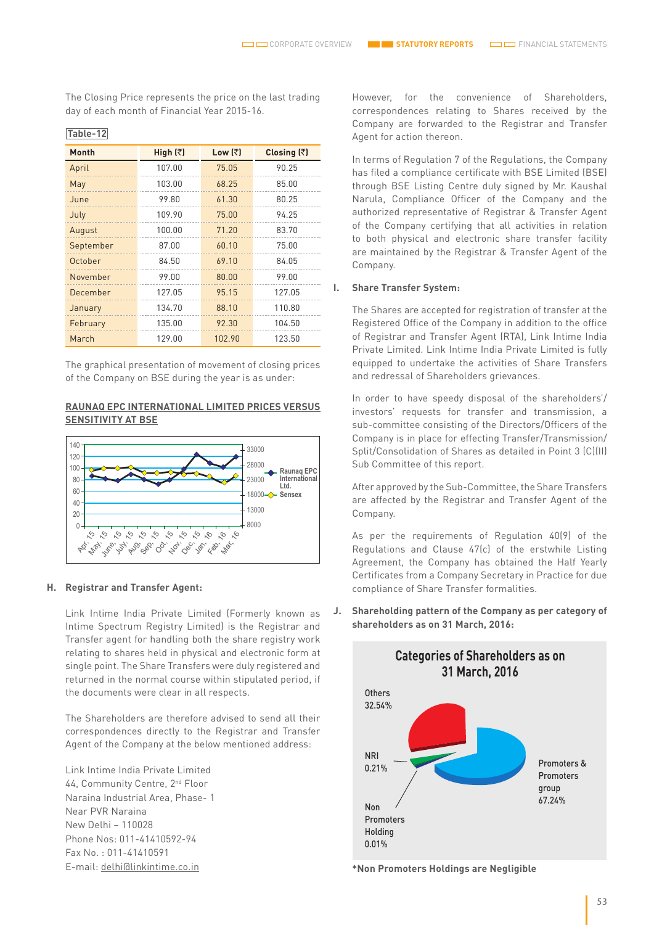| <b>Month</b> | High $(\bar{z})$ | Low $(\bar{z})$ | Closing $(\bar{z})$ |
|--------------|------------------|-----------------|---------------------|
| April        | 107.00           | 75.05           | 90.25               |
| May          | 103.00           | 68.25           | 85.00               |
| June         | 9980             | 61.30           | 80.25               |
| July         | 109.90           | 75.00           | 94 25               |
| August       | 100.00           | 71.20           | 83.70               |
| September    | 87.00            | 60.10           | 75.00               |
| October      | 84.50            | 69.10           | 84.05               |
| November     | 99.00            | 80.00           | 99.00               |
| December     | 127.05           | 95.15           | 127.05              |
| January      | 134.70           | 88.10           | 110.80              |
| February     | 135.00           | 92.30           | 104.50              |
| March        | 129.00           | 102.90          | 123.50              |

The Closing Price represents the price on the last trading day of each month of Financial Year 2015-16.

#### **Table-12**

The graphical presentation of movement of closing prices of the Company on BSE during the year is as under:

#### **RAUNAQ EPC INTERNATIONAL LIMITED PRICES VERSUS SENSITIVITY AT BSE**



#### **H. Registrar and Transfer Agent:**

 Link Intime India Private Limited (Formerly known as Intime Spectrum Registry Limited) is the Registrar and Transfer agent for handling both the share registry work relating to shares held in physical and electronic form at single point. The Share Transfers were duly registered and returned in the normal course within stipulated period, if the documents were clear in all respects.

The Shareholders are therefore advised to send all their correspondences directly to the Registrar and Transfer Agent of the Company at the below mentioned address:

 Link Intime India Private Limited 44, Community Centre, 2nd Floor Naraina Industrial Area, Phase- 1 Near PVR Naraina New Delhi – 110028 Phone Nos: 011-41410592-94 Fax No. : 011-41410591 E-mail: delhi@linkintime.co.in

However, for the convenience of Shareholders, correspondences relating to Shares received by the Company are forwarded to the Registrar and Transfer Agent for action thereon.

In terms of Regulation 7 of the Regulations, the Company has filed a compliance certificate with BSE Limited (BSE) through BSE Listing Centre duly signed by Mr. Kaushal Narula, Compliance Officer of the Company and the authorized representative of Registrar & Transfer Agent of the Company certifying that all activities in relation to both physical and electronic share transfer facility are maintained by the Registrar & Transfer Agent of the Company.

#### **I. Share Transfer System:**

The Shares are accepted for registration of transfer at the Registered Office of the Company in addition to the office of Registrar and Transfer Agent (RTA), Link Intime India Private Limited. Link Intime India Private Limited is fully equipped to undertake the activities of Share Transfers and redressal of Shareholders grievances.

In order to have speedy disposal of the shareholders'/ investors' requests for transfer and transmission, a sub-committee consisting of the Directors/Officers of the Company is in place for effecting Transfer/Transmission/ Split/Consolidation of Shares as detailed in Point 3 (C)(II) Sub Committee of this report.

After approved by the Sub-Committee, the Share Transfers are affected by the Registrar and Transfer Agent of the Company.

As per the requirements of Regulation 40(9) of the Regulations and Clause 47(c) of the erstwhile Listing Agreement, the Company has obtained the Half Yearly Certificates from a Company Secretary in Practice for due compliance of Share Transfer formalities.

**J. Shareholding pattern of the Company as per category of shareholders as on 31 March, 2016:**



**\*Non Promoters Holdings are Negligible**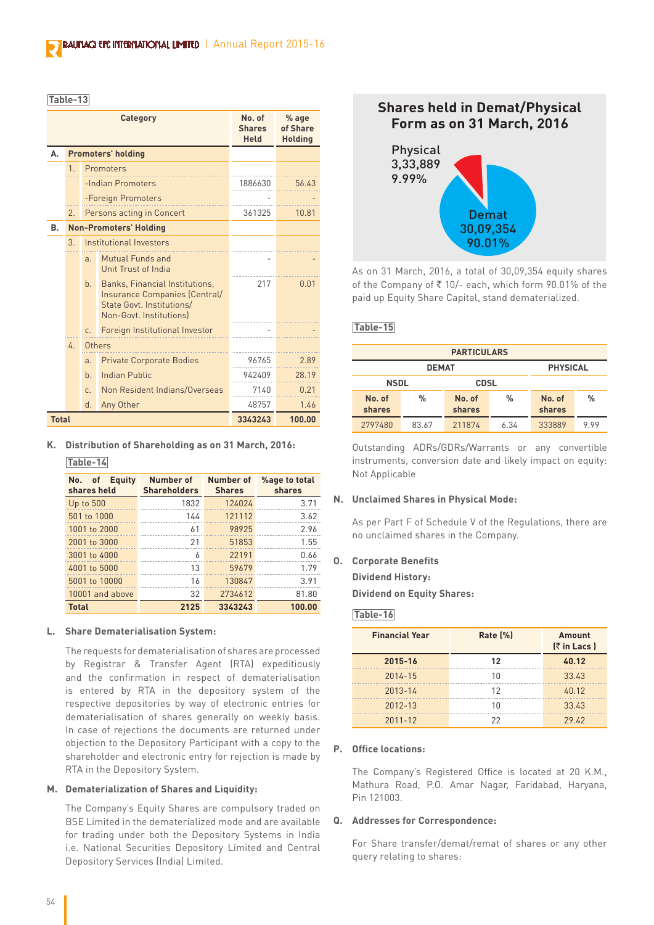**Table-13**

|              | <b>Category</b> |                |                                                                                                                         | No. of<br><b>Shares</b><br><b>Held</b> | % age<br>of Share<br><b>Holding</b> |
|--------------|-----------------|----------------|-------------------------------------------------------------------------------------------------------------------------|----------------------------------------|-------------------------------------|
| А.           |                 |                | <b>Promoters' holding</b>                                                                                               |                                        |                                     |
|              | $\mathbf{1}$    |                | Promoters                                                                                                               |                                        |                                     |
|              |                 |                | -Indian Promoters                                                                                                       | 1886630                                | 56.43                               |
|              |                 |                | -Foreign Promoters                                                                                                      |                                        |                                     |
|              | 2.              |                | Persons acting in Concert                                                                                               | 361325                                 | 10.81                               |
| В.           |                 |                | <b>Non-Promoters' Holding</b>                                                                                           |                                        |                                     |
|              | 3.              |                | Institutional Investors                                                                                                 |                                        |                                     |
|              |                 | a <sub>x</sub> | Mutual Funds and<br>Unit Trust of India                                                                                 |                                        |                                     |
|              |                 | b <sub>1</sub> | Banks, Financial Institutions,<br>Insurance Companies (Central/<br>State Govt. Institutions/<br>Non-Govt, Institutions) | 217                                    | 0.01                                |
|              |                 | C <sub>1</sub> | Foreign Institutional Investor                                                                                          |                                        |                                     |
|              | $\sqrt{2}$      |                | Others                                                                                                                  |                                        |                                     |
|              |                 | a.             | <b>Private Corporate Bodies</b>                                                                                         | 96765                                  | 2.89                                |
|              |                 | h              | <b>Indian Public</b>                                                                                                    | 942409                                 | 28.19                               |
|              |                 | C.             | Non Resident Indians/Overseas                                                                                           | 7140                                   | 0.21                                |
|              |                 | d.             | Any Other                                                                                                               | 48757                                  | 1.46                                |
| <b>Total</b> |                 |                |                                                                                                                         | 3343243                                | 100.00                              |

**K. Distribution of Shareholding as on 31 March, 2016:**

#### **Table-14**

| of<br><b>E</b> quity<br>No.<br>shares held | Number of<br><b>Shareholders</b> | Number of<br><b>Shares</b> | %age to total<br>shares |
|--------------------------------------------|----------------------------------|----------------------------|-------------------------|
| <b>Up to 500</b>                           | 1832                             | 124024                     | 3.71                    |
| 501 to 1000                                | 144                              | 121112                     | 3.62                    |
| 1001 to 2000                               | 61                               | 98925                      | 2.96                    |
| 2001 to 3000                               | 21                               | 51853                      | 1.55                    |
| 3001 to 4000                               | 6                                | 22191                      | 0.66                    |
| 4001 to 5000                               | 13                               | 59679                      | 1 79                    |
| 5001 to 10000                              | 16                               | 130847                     | 391                     |
| 10001 and above                            | 32                               | 2734612                    | 81.80                   |
| <b>Total</b>                               | 2125                             | 3343243                    | 100.00                  |

#### **L. Share Dematerialisation System:**

The requests for dematerialisation of shares are processed by Registrar & Transfer Agent (RTA) expeditiously and the confirmation in respect of dematerialisation is entered by RTA in the depository system of the respective depositories by way of electronic entries for dematerialisation of shares generally on weekly basis. In case of rejections the documents are returned under objection to the Depository Participant with a copy to the shareholder and electronic entry for rejection is made by RTA in the Depository System.

#### **M. Dematerialization of Shares and Liquidity:**

The Company's Equity Shares are compulsory traded on BSE Limited in the dematerialized mode and are available for trading under both the Depository Systems in India i.e. National Securities Depository Limited and Central Depository Services (India) Limited.

## **Shares held in Demat/Physical Form as on 31 March, 2016**



As on 31 March, 2016, a total of 30,09,354 equity shares of the Company of  $\overline{\epsilon}$  10/- each, which form 90.01% of the paid up Equity Share Capital, stand dematerialized.

#### **Table-15**

| <b>PARTICULARS</b>              |               |                  |      |                  |      |
|---------------------------------|---------------|------------------|------|------------------|------|
| <b>PHYSICAL</b><br><b>DEMAT</b> |               |                  |      |                  |      |
| <b>NSDL</b>                     |               | <b>CDSL</b>      |      |                  |      |
| No. of<br>shares                | $\frac{0}{0}$ | No. of<br>shares | %    | No. of<br>shares | $\%$ |
| 2797480                         | 83 67         | 211874           | 6.34 | 333889           | 999  |

Outstanding ADRs/GDRs/Warrants or any convertible instruments, conversion date and likely impact on equity: Not Applicable

#### **N. Unclaimed Shares in Physical Mode:**

As per Part F of Schedule V of the Regulations, there are no unclaimed shares in the Company.

#### **O. Corporate Benefits**

**Dividend History:**

**Dividend on Equity Shares:**

## **Table-16**

| <b>Financial Year</b> | Rate [%] | <b>Amount</b><br>$(5 \in \mathsf{In}$ Lacs $)$ |
|-----------------------|----------|------------------------------------------------|
| 2015-16               | 12       | 40.12                                          |
| $2014 - 15$           | 10       | 33.43                                          |
| $2013 - 14$           | 12       | 40.12                                          |
| $2012 - 13$           | 10       | 33.43                                          |
| $2011 - 12$           | 22       | 2942                                           |

#### **P. Office locations:**

The Company's Registered Office is located at 20 K.M., Mathura Road, P.O. Amar Nagar, Faridabad, Haryana, Pin 121003.

#### **Q. Addresses for Correspondence:**

For Share transfer/demat/remat of shares or any other query relating to shares: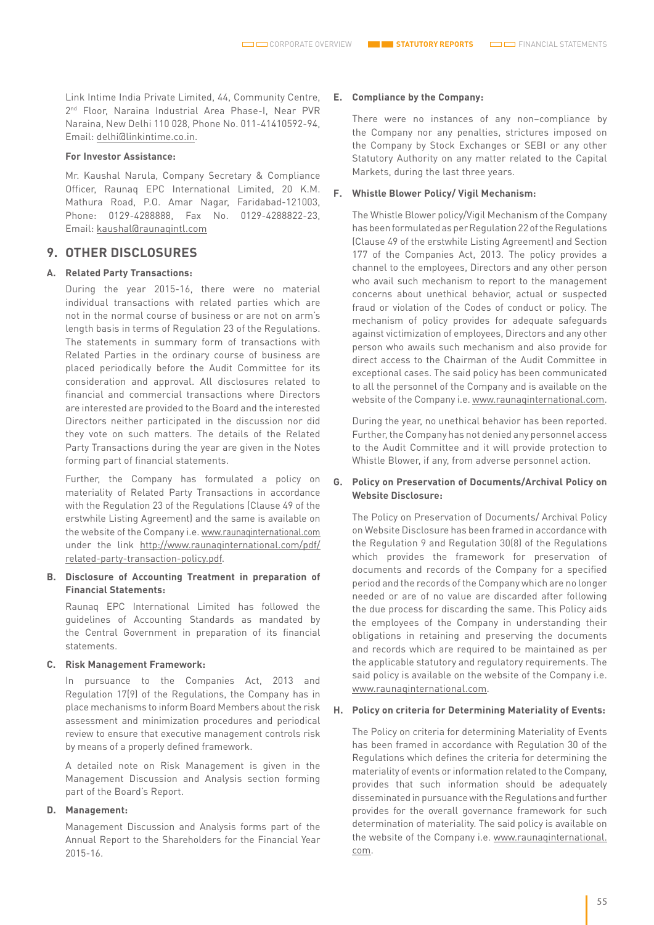Link Intime India Private Limited, 44, Community Centre, 2<sup>nd</sup> Floor, Naraina Industrial Area Phase-I, Near PVR Naraina, New Delhi 110 028, Phone No. 011-41410592-94, Email: delhi@linkintime.co.in.

#### **For Investor Assistance:**

Mr. Kaushal Narula, Company Secretary & Compliance Officer, Raunaq EPC International Limited, 20 K.M. Mathura Road, P.O. Amar Nagar, Faridabad-121003, Phone: 0129-4288888, Fax No. 0129-4288822-23, Email: kaushal@raunaqintl.com

## **9. OTHER DISCLOSURES**

### **A. Related Party Transactions:**

During the year 2015-16, there were no material individual transactions with related parties which are not in the normal course of business or are not on arm's length basis in terms of Regulation 23 of the Regulations. The statements in summary form of transactions with Related Parties in the ordinary course of business are placed periodically before the Audit Committee for its consideration and approval. All disclosures related to financial and commercial transactions where Directors are interested are provided to the Board and the interested Directors neither participated in the discussion nor did they vote on such matters. The details of the Related Party Transactions during the year are given in the Notes forming part of financial statements.

Further, the Company has formulated a policy on materiality of Related Party Transactions in accordance with the Regulation 23 of the Regulations (Clause 49 of the erstwhile Listing Agreement) and the same is available on the website of the Company i.e. www.raunaqinternational.com under the link http://www.raunaqinternational.com/pdf/ related-party-transaction-policy.pdf.

#### **B. Disclosure of Accounting Treatment in preparation of Financial Statements:**

Raunaq EPC International Limited has followed the guidelines of Accounting Standards as mandated by the Central Government in preparation of its financial statements.

#### **C. Risk Management Framework:**

In pursuance to the Companies Act, 2013 and Regulation 17(9) of the Regulations, the Company has in place mechanisms to inform Board Members about the risk assessment and minimization procedures and periodical review to ensure that executive management controls risk by means of a properly defined framework.

 A detailed note on Risk Management is given in the Management Discussion and Analysis section forming part of the Board's Report.

#### **D. Management:**

Management Discussion and Analysis forms part of the Annual Report to the Shareholders for the Financial Year 2015-16.

#### **E. Compliance by the Company:**

There were no instances of any non–compliance by the Company nor any penalties, strictures imposed on the Company by Stock Exchanges or SEBI or any other Statutory Authority on any matter related to the Capital Markets, during the last three years.

#### **F. Whistle Blower Policy/ Vigil Mechanism:**

The Whistle Blower policy/Vigil Mechanism of the Company has been formulated as per Regulation 22 of the Regulations (Clause 49 of the erstwhile Listing Agreement) and Section 177 of the Companies Act, 2013. The policy provides a channel to the employees, Directors and any other person who avail such mechanism to report to the management concerns about unethical behavior, actual or suspected fraud or violation of the Codes of conduct or policy. The mechanism of policy provides for adequate safeguards against victimization of employees, Directors and any other person who awails such mechanism and also provide for direct access to the Chairman of the Audit Committee in exceptional cases. The said policy has been communicated to all the personnel of the Company and is available on the website of the Company i.e. www.raunaqinternational.com.

During the year, no unethical behavior has been reported. Further, the Company has not denied any personnel access to the Audit Committee and it will provide protection to Whistle Blower, if any, from adverse personnel action.

#### **G. Policy on Preservation of Documents/Archival Policy on Website Disclosure:**

The Policy on Preservation of Documents/ Archival Policy on Website Disclosure has been framed in accordance with the Regulation 9 and Regulation 30(8) of the Regulations which provides the framework for preservation of documents and records of the Company for a specified period and the records of the Company which are no longer needed or are of no value are discarded after following the due process for discarding the same. This Policy aids the employees of the Company in understanding their obligations in retaining and preserving the documents and records which are required to be maintained as per the applicable statutory and regulatory requirements. The said policy is available on the website of the Company i.e. www.raunaqinternational.com.

#### **H. Policy on criteria for Determining Materiality of Events:**

The Policy on criteria for determining Materiality of Events has been framed in accordance with Regulation 30 of the Regulations which defines the criteria for determining the materiality of events or information related to the Company, provides that such information should be adequately disseminated in pursuance with the Regulations and further provides for the overall governance framework for such determination of materiality. The said policy is available on the website of the Company i.e. www.raunaqinternational. com.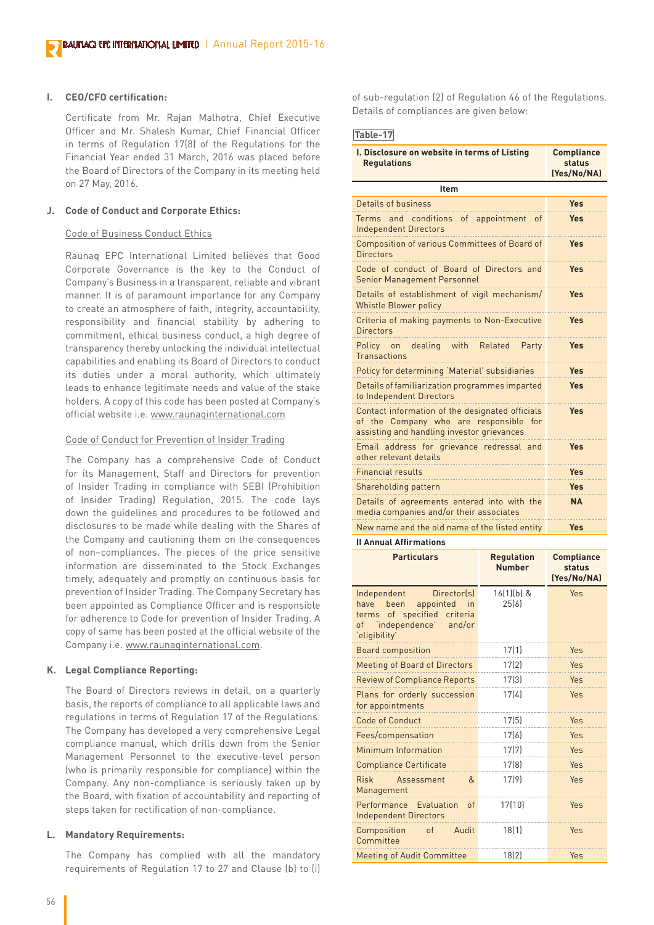#### **I. CEO/CFO certification:**

Certificate from Mr. Rajan Malhotra, Chief Executive Officer and Mr. Shalesh Kumar, Chief Financial Officer in terms of Regulation 17(8) of the Regulations for the Financial Year ended 31 March, 2016 was placed before the Board of Directors of the Company in its meeting held on 27 May, 2016.

#### **J. Code of Conduct and Corporate Ethics:**

#### Code of Business Conduct Ethics

Raunaq EPC International Limited believes that Good Corporate Governance is the key to the Conduct of Company's Business in a transparent, reliable and vibrant manner. It is of paramount importance for any Company to create an atmosphere of faith, integrity, accountability, responsibility and financial stability by adhering to commitment, ethical business conduct, a high degree of transparency thereby unlocking the individual intellectual capabilities and enabling its Board of Directors to conduct its duties under a moral authority, which ultimately leads to enhance legitimate needs and value of the stake holders. A copy of this code has been posted at Company's official website i.e. www.raunaqinternational.com

#### Code of Conduct for Prevention of Insider Trading

The Company has a comprehensive Code of Conduct for its Management, Staff and Directors for prevention of Insider Trading in compliance with SEBI (Prohibition of Insider Trading) Regulation, 2015. The code lays down the guidelines and procedures to be followed and disclosures to be made while dealing with the Shares of the Company and cautioning them on the consequences of non–compliances. The pieces of the price sensitive information are disseminated to the Stock Exchanges timely, adequately and promptly on continuous basis for prevention of Insider Trading. The Company Secretary has been appointed as Compliance Officer and is responsible for adherence to Code for prevention of Insider Trading. A copy of same has been posted at the official website of the Company i.e. www.raunaqinternational.com.

#### **K. Legal Compliance Reporting:**

The Board of Directors reviews in detail, on a quarterly basis, the reports of compliance to all applicable laws and regulations in terms of Regulation 17 of the Regulations. The Company has developed a very comprehensive Legal compliance manual, which drills down from the Senior Management Personnel to the executive-level person (who is primarily responsible for compliance) within the Company. Any non-compliance is seriously taken up by the Board, with fixation of accountability and reporting of steps taken for rectification of non-compliance.

#### **L. Mandatory Requirements:**

The Company has complied with all the mandatory requirements of Regulation 17 to 27 and Clause (b) to (i) of sub-regulation (2) of Regulation 46 of the Regulations. Details of compliances are given below:

#### **Table-17**

| I. Disclosure on website in terms of Listing<br><b>Regulations</b> | <b>Compliance</b><br>status<br>[Yes/No/NA] |
|--------------------------------------------------------------------|--------------------------------------------|
| ltem                                                               |                                            |

| Details of business                                                                                                                     | <b>Yes</b> |
|-----------------------------------------------------------------------------------------------------------------------------------------|------------|
| Terms and conditions of appointment of<br><b>Independent Directors</b>                                                                  | Yes        |
| <b>Composition of various Committees of Board of</b><br><b>Directors</b>                                                                | <b>Yes</b> |
| Code of conduct of Board of Directors and<br><b>Senior Management Personnel</b>                                                         | <b>Yes</b> |
| Details of establishment of vigil mechanism/<br><b>Whistle Blower policy</b>                                                            | Yes        |
| Criteria of making payments to Non-Executive<br>Directors                                                                               | <b>Yes</b> |
| Policy on dealing with Related<br>Party<br><b>Transactions</b>                                                                          | <b>Yes</b> |
| Policy for determining 'Material' subsidiaries                                                                                          | <b>Yes</b> |
| Details of familiarization programmes imparted<br>to Independent Directors                                                              | Yes        |
| Contact information of the designated officials<br>of the Company who are responsible for<br>assisting and handling investor grievances | <b>Yes</b> |
| Email address for grievance redressal and<br>other relevant details                                                                     | <b>Yes</b> |
| <b>Financial results</b>                                                                                                                | <b>Yes</b> |
| Shareholding pattern                                                                                                                    | <b>Yes</b> |
| Details of agreements entered into with the<br>media companies and/or their associates                                                  | <b>NA</b>  |
| New name and the old name of the listed entity                                                                                          | Yes        |
|                                                                                                                                         |            |

#### **II Annual Affirmations**

| <b>Particulars</b>                                                                                                                     | <b>Regulation</b><br><b>Number</b> | <b>Compliance</b><br>status<br>(Yes/No/NA) |
|----------------------------------------------------------------------------------------------------------------------------------------|------------------------------------|--------------------------------------------|
| Independent Director(s)<br>been<br>appointed<br>have<br>in<br>terms of specified criteria<br>of 'independence' and/or<br>'eligibility' | 16[1][b] &<br>25(6)                | Yes                                        |
| <b>Board composition</b>                                                                                                               | 17(1)                              | Yes                                        |
| <b>Meeting of Board of Directors</b>                                                                                                   | 17(2)                              | Yes                                        |
| <b>Review of Compliance Reports</b>                                                                                                    | 17(3)                              | Yes                                        |
| Plans for orderly succession<br>for appointments                                                                                       | 17(4)                              | Yes                                        |
| <b>Code of Conduct</b>                                                                                                                 | 17(5)                              | Yes                                        |
| Fees/compensation                                                                                                                      | 17(6)                              | Yes                                        |
| Minimum Information                                                                                                                    | 17(7)                              | Yes                                        |
| <b>Compliance Certificate</b>                                                                                                          | 17(8)                              | Yes                                        |
| Risk<br>Assessment<br>$\kappa$<br>Management                                                                                           | 17[9]                              | Yes                                        |
| Performance Evaluation of<br><b>Independent Directors</b>                                                                              | 17(10)                             | Yes                                        |
| of<br>Composition<br>Audit<br>Committee                                                                                                | 18[1]                              | Yes                                        |
| <b>Meeting of Audit Committee</b>                                                                                                      | 18(2)                              | Yes                                        |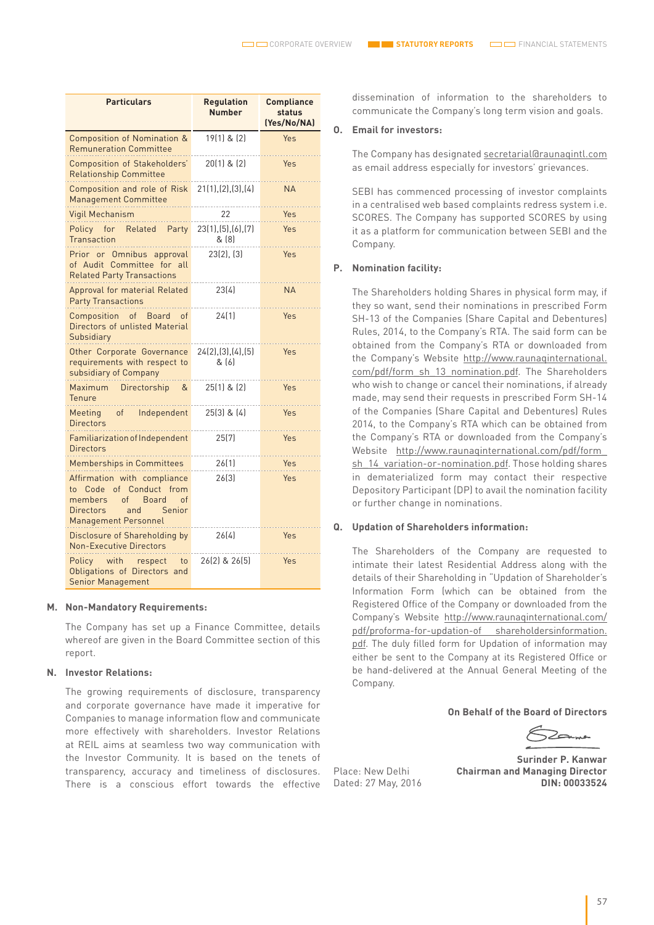| <b>Particulars</b>                                                                                                                                                      | <b>Regulation</b><br><b>Number</b> | <b>Compliance</b><br>status<br>(Yes/No/NA) |
|-------------------------------------------------------------------------------------------------------------------------------------------------------------------------|------------------------------------|--------------------------------------------|
| Composition of Nomination &<br><b>Remuneration Committee</b>                                                                                                            | $19[1]$ & $[2]$                    | Yes                                        |
| Composition of Stakeholders'<br><b>Relationship Committee</b>                                                                                                           | 20(1) & (2)                        | Yes                                        |
| Composition and role of Risk<br><b>Management Committee</b>                                                                                                             | 21(1), (2), (3), (4)               | <b>NA</b>                                  |
| Vigil Mechanism                                                                                                                                                         | 22                                 | Yes                                        |
| Policy<br>for<br>Related<br>Party<br><b>Transaction</b>                                                                                                                 | 23(1), [5), [6], [7]<br>& (8)      | Yes                                        |
| Prior or Omnibus approval<br>of Audit Committee for all<br><b>Related Party Transactions</b>                                                                            | 23(2), (3)                         | Yes                                        |
| Approval for material Related<br><b>Party Transactions</b>                                                                                                              | 23(4)                              | <b>NA</b>                                  |
| Composition of<br><b>Board</b><br>of<br>Directors of unlisted Material<br><b>Subsidiary</b>                                                                             | 24(1)                              | Yes                                        |
| Other Corporate Governance<br>requirements with respect to<br>subsidiary of Company                                                                                     | 24(2), (3), (4), (5)<br>& (6)      | Yes                                        |
| Maximum<br>Directorship<br>&<br>Tenure                                                                                                                                  | $25(1)$ & $(2)$                    | Yes                                        |
| Meeting<br>of<br>Independent<br><b>Directors</b>                                                                                                                        | $25(3)$ & $(4)$                    | Yes                                        |
| Familiarization of Independent<br><b>Directors</b>                                                                                                                      | 25(7)                              | Yes                                        |
| <b>Memberships in Committees</b>                                                                                                                                        | 26[1]                              | Yes                                        |
| Affirmation with compliance<br>of Conduct from<br>to<br>Code<br>members<br>$\circ$ f<br><b>Board</b><br>of<br><b>Directors</b><br>Senior<br>and<br>Management Personnel | 26[3]                              | Yes                                        |
| Disclosure of Shareholding by<br><b>Non-Executive Directors</b>                                                                                                         | 26(4)                              | Yes                                        |
| Policy<br>with respect<br>to<br>Obligations of Directors and<br><b>Senior Management</b>                                                                                | $26(2)$ & $26(5)$                  | Yes                                        |

#### **M. Non-Mandatory Requirements:**

The Company has set up a Finance Committee, details whereof are given in the Board Committee section of this report.

#### **N. Investor Relations:**

The growing requirements of disclosure, transparency and corporate governance have made it imperative for Companies to manage information flow and communicate more effectively with shareholders. Investor Relations at REIL aims at seamless two way communication with the Investor Community. It is based on the tenets of transparency, accuracy and timeliness of disclosures. There is a conscious effort towards the effective dissemination of information to the shareholders to communicate the Company's long term vision and goals.

#### **O. Email for investors:**

The Company has designated secretarial@raunaqintl.com as email address especially for investors' grievances.

SEBI has commenced processing of investor complaints in a centralised web based complaints redress system i.e. SCORES. The Company has supported SCORES by using it as a platform for communication between SEBI and the Company.

#### **P. Nomination facility:**

The Shareholders holding Shares in physical form may, if they so want, send their nominations in prescribed Form SH-13 of the Companies (Share Capital and Debentures) Rules, 2014, to the Company's RTA. The said form can be obtained from the Company's RTA or downloaded from the Company's Website http://www.raunaqinternational. com/pdf/form\_sh\_13\_nomination.pdf. The Shareholders who wish to change or cancel their nominations, if already made, may send their requests in prescribed Form SH-14 of the Companies (Share Capital and Debentures) Rules 2014, to the Company's RTA which can be obtained from the Company's RTA or downloaded from the Company's Website http://www.raunaqinternational.com/pdf/form\_ sh 14 variation-or-nomination.pdf. Those holding shares in dematerialized form may contact their respective Depository Participant (DP) to avail the nomination facility or further change in nominations.

#### **Q. Updation of Shareholders information:**

The Shareholders of the Company are requested to intimate their latest Residential Address along with the details of their Shareholding in "Updation of Shareholder's Information Form (which can be obtained from the Registered Office of the Company or downloaded from the Company's Website http://www.raunaqinternational.com/ pdf/proforma-for-updation-of shareholdersinformation. pdf. The duly filled form for Updation of information may either be sent to the Company at its Registered Office or be hand-delivered at the Annual General Meeting of the Company.

**On Behalf of the Board of Directors**

 **Surinder P. Kanwar** Place: New Delhi **Chairman and Managing Director**  Dated: 27 May, 2016 **DIN: 00033524**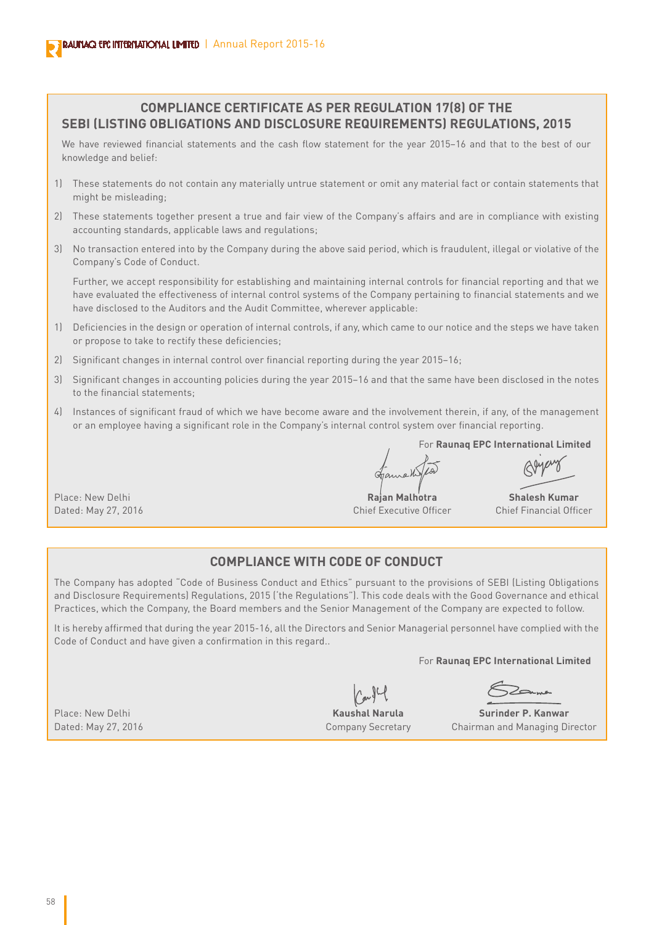## **COMPLIANCE CERTIFICATE AS PER REGULATION 17(8) OF THE SEBI (LISTING OBLIGATIONS AND DISCLOSURE REQUIREMENTS) REGULATIONS, 2015**

We have reviewed financial statements and the cash flow statement for the year 2015–16 and that to the best of our knowledge and belief:

- 1) These statements do not contain any materially untrue statement or omit any material fact or contain statements that might be misleading;
- 2) These statements together present a true and fair view of the Company's affairs and are in compliance with existing accounting standards, applicable laws and regulations;
- 3) No transaction entered into by the Company during the above said period, which is fraudulent, illegal or violative of the Company's Code of Conduct.

Further, we accept responsibility for establishing and maintaining internal controls for financial reporting and that we have evaluated the effectiveness of internal control systems of the Company pertaining to financial statements and we have disclosed to the Auditors and the Audit Committee, wherever applicable:

- 1) Deficiencies in the design or operation of internal controls, if any, which came to our notice and the steps we have taken or propose to take to rectify these deficiencies;
- 2) Significant changes in internal control over financial reporting during the year 2015–16;
- 3) Significant changes in accounting policies during the year 2015–16 and that the same have been disclosed in the notes to the financial statements;
- 4) Instances of significant fraud of which we have become aware and the involvement therein, if any, of the management or an employee having a significant role in the Company's internal control system over financial reporting.

Place: New Delhi **Rajan Malhotra Shalesh Kumar**  Dated: May 27, 2016 Chief Executive Officer Chief Financial Officer

## **COMPLIANCE WITH CODE OF CONDUCT**

The Company has adopted "Code of Business Conduct and Ethics" pursuant to the provisions of SEBI (Listing Obligations and Disclosure Requirements) Regulations, 2015 ('the Regulations"). This code deals with the Good Governance and ethical Practices, which the Company, the Board members and the Senior Management of the Company are expected to follow.

It is hereby affirmed that during the year 2015-16, all the Directors and Senior Managerial personnel have complied with the Code of Conduct and have given a confirmation in this regard..

For **Raunaq EPC International Limited**

For **Raunaq EPC International Limited**

Place: New Delhi **Kaushal Narula Surinder P. Kanwar**  Dated: May 27, 2016 Company Secretary Chairman and Managing Director